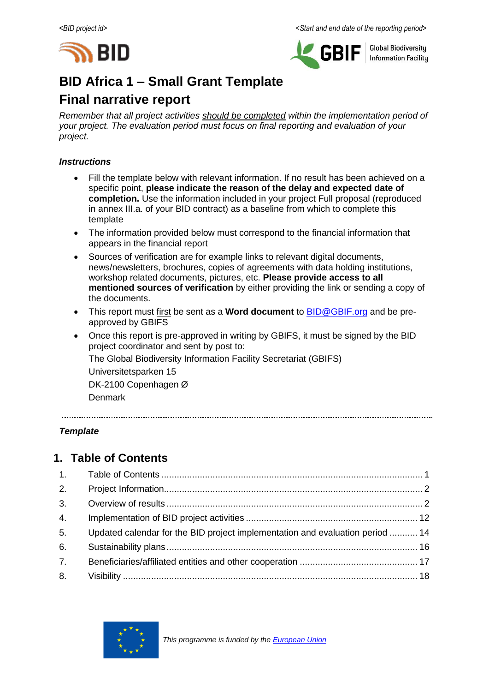



**Global Biodiversity Information Facilitu** 

# **BID Africa 1 – Small Grant Template**

# **Final narrative report**

*Remember that all project activities should be completed within the implementation period of your project. The evaluation period must focus on final reporting and evaluation of your project.*

#### *Instructions*

- Fill the template below with relevant information. If no result has been achieved on a specific point, **please indicate the reason of the delay and expected date of completion.** Use the information included in your project Full proposal (reproduced in annex III.a. of your BID contract) as a baseline from which to complete this template
- The information provided below must correspond to the financial information that appears in the financial report
- Sources of verification are for example links to relevant digital documents, news/newsletters, brochures, copies of agreements with data holding institutions, workshop related documents, pictures, etc. **Please provide access to all mentioned sources of verification** by either providing the link or sending a copy of the documents.
- This report must first be sent as a **Word document** to [BID@GBIF.org](mailto:BID@GBIF.org) and be preapproved by GBIFS
- Once this report is pre-approved in writing by GBIFS, it must be signed by the BID project coordinator and sent by post to: The Global Biodiversity Information Facility Secretariat (GBIFS) Universitetsparken 15 DK-2100 Copenhagen Ø Denmark

*Template*

# <span id="page-0-0"></span>**1. Table of Contents**

| 2. |                                                                               |  |
|----|-------------------------------------------------------------------------------|--|
| 3. |                                                                               |  |
| 4. |                                                                               |  |
| 5. | Updated calendar for the BID project implementation and evaluation period  14 |  |
| 6. |                                                                               |  |
| 7. |                                                                               |  |
| 8. |                                                                               |  |

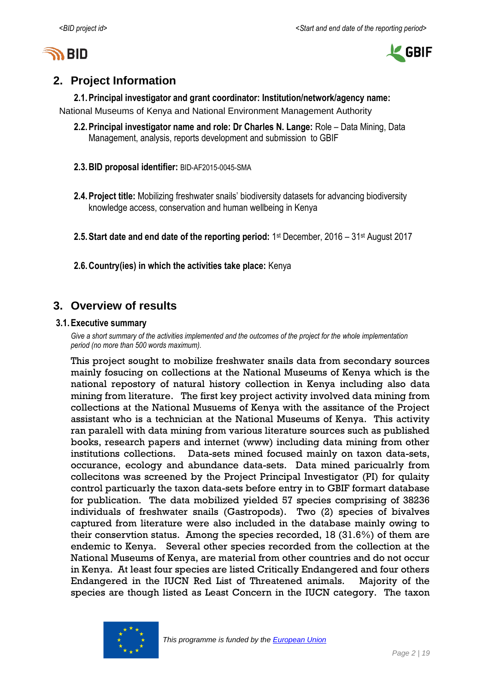



# <span id="page-1-0"></span>**2. Project Information**

**2.1.Principal investigator and grant coordinator: Institution/network/agency name:** National Museums of Kenya and National Environment Management Authority

- **2.2.Principal investigator name and role: Dr Charles N. Lange:** Role Data Mining, Data Management, analysis, reports development and submission to GBIF
- **2.3.BID proposal identifier:** BID-AF2015-0045-SMA
- **2.4.Project title:** Mobilizing freshwater snails' biodiversity datasets for advancing biodiversity knowledge access, conservation and human wellbeing in Kenya

**2.5. Start date and end date of the reporting period: 1st December, 2016 – 31st August 2017** 

**2.6.Country(ies) in which the activities take place:** Kenya

# <span id="page-1-1"></span>**3. Overview of results**

#### **3.1.Executive summary**

*Give a short summary of the activities implemented and the outcomes of the project for the whole implementation period (no more than 500 words maximum).*

This project sought to mobilize freshwater snails data from secondary sources mainly fosucing on collections at the National Museums of Kenya which is the national repostory of natural history collection in Kenya including also data mining from literature. The first key project activity involved data mining from collections at the National Musuems of Kenya with the assitance of the Project assistant who is a technician at the National Museums of Kenya. This activity ran paralell with data mining from various literature sources such as published books, research papers and internet (www) including data mining from other institutions collections. Data-sets mined focused mainly on taxon data-sets, occurance, ecology and abundance data-sets. Data mined paricualrly from collecitons was screened by the Project Principal Investigator (PI) for qulaity control particuarly the taxon data-sets before entry in to GBIF formart database for publication. The data mobilized yielded 57 species comprising of 38236 individuals of freshwater snails (Gastropods). Two (2) species of bivalves captured from literature were also included in the database mainly owing to their conservtion status. Among the species recorded, 18 (31.6%) of them are endemic to Kenya. Several other species recorded from the collection at the National Museums of Kenya, are material from other countries and do not occur in Kenya. At least four species are listed Critically Endangered and four others Endangered in the IUCN Red List of Threatened animals. Majority of the species are though listed as Least Concern in the IUCN category. The taxon

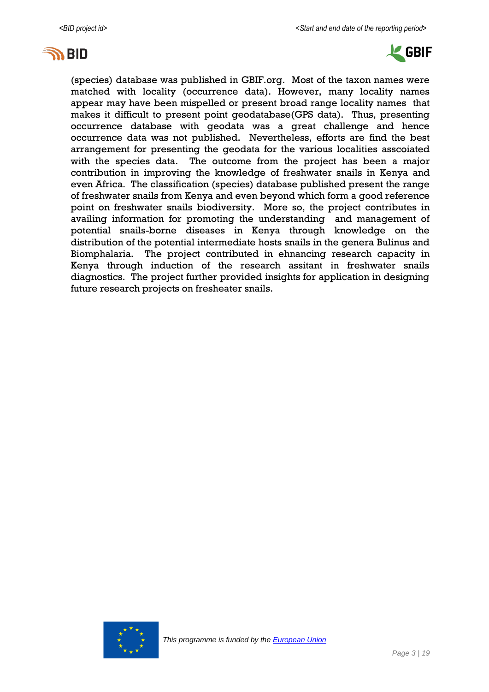



(species) database was published in GBIF.org. Most of the taxon names were matched with locality (occurrence data). However, many locality names appear may have been mispelled or present broad range locality names that makes it difficult to present point geodatabase(GPS data). Thus, presenting occurrence database with geodata was a great challenge and hence occurrence data was not published. Nevertheless, efforts are find the best arrangement for presenting the geodata for the various localities asscoiated with the species data. The outcome from the project has been a major contribution in improving the knowledge of freshwater snails in Kenya and even Africa. The classification (species) database published present the range of freshwater snails from Kenya and even beyond which form a good reference point on freshwater snails biodiversity. More so, the project contributes in availing information for promoting the understanding and management of potential snails-borne diseases in Kenya through knowledge on the distribution of the potential intermediate hosts snails in the genera Bulinus and Biomphalaria. The project contributed in ehnancing research capacity in Kenya through induction of the research assitant in freshwater snails diagnostics. The project further provided insights for application in designing future research projects on fresheater snails.

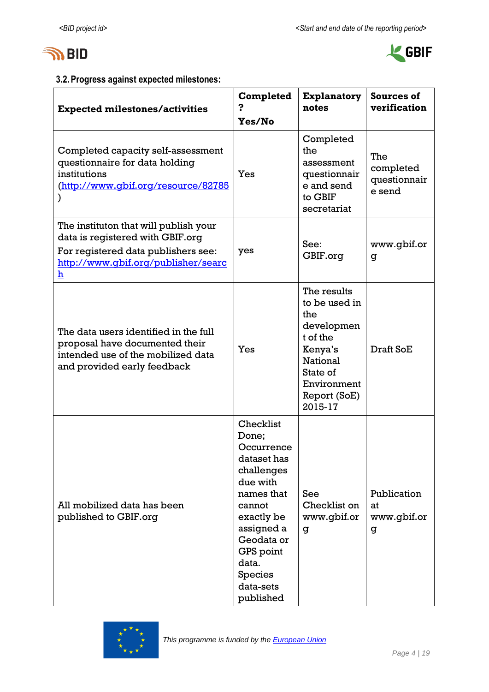



# **3.2.Progress against expected milestones:**

| <b>Expected milestones/activities</b>                                                                                                                               | Completed<br>Yes/No                                                                                                                                                                                           | <b>Explanatory</b><br>notes                                                                                                                | Sources of<br>verification                 |
|---------------------------------------------------------------------------------------------------------------------------------------------------------------------|---------------------------------------------------------------------------------------------------------------------------------------------------------------------------------------------------------------|--------------------------------------------------------------------------------------------------------------------------------------------|--------------------------------------------|
| Completed capacity self-assessment<br>questionnaire for data holding<br>institutions<br>(http://www.qbif.org/resource/82785                                         | Yes                                                                                                                                                                                                           | Completed<br>the<br>assessment<br>questionnair<br>e and send<br>to GBIF<br>secretariat                                                     | The<br>completed<br>questionnair<br>e send |
| The instituton that will publish your<br>data is registered with GBIF.org<br>For registered data publishers see:<br>http://www.qbif.org/publisher/searc<br><u>h</u> | yes                                                                                                                                                                                                           | See:<br>GBIF.org                                                                                                                           | www.gbif.or<br>g                           |
| The data users identified in the full<br>proposal have documented their<br>intended use of the mobilized data<br>and provided early feedback                        | Yes                                                                                                                                                                                                           | The results<br>to be used in<br>the<br>developmen<br>t of the<br>Kenya's<br>National<br>State of<br>Environment<br>Report (SoE)<br>2015-17 | Draft SoE                                  |
| All mobilized data has been<br>published to GBIF.org                                                                                                                | Checklist<br>Done;<br>Occurrence<br>dataset has<br>challenges<br>due with<br>names that<br>cannot<br>exactly be<br>assigned a<br>Geodata or<br>GPS point<br>data.<br><b>Species</b><br>data-sets<br>published | See<br>Checklist on<br>www.gbif.or<br>g                                                                                                    | Publication<br>at<br>www.gbif.or<br>g      |

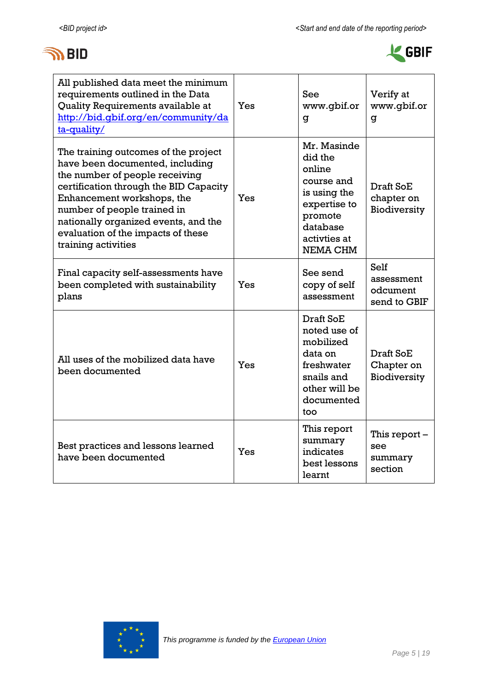



| All published data meet the minimum<br>requirements outlined in the Data<br>Quality Requirements available at<br>http://bid.qbif.org/en/community/da<br>ta-quality/                                                                                                                                                   | Yes | See<br>www.gbif.or<br>g                                                                                                           | Verify at<br>www.gbif.or<br>g                  |
|-----------------------------------------------------------------------------------------------------------------------------------------------------------------------------------------------------------------------------------------------------------------------------------------------------------------------|-----|-----------------------------------------------------------------------------------------------------------------------------------|------------------------------------------------|
| The training outcomes of the project<br>have been documented, including<br>the number of people receiving<br>certification through the BID Capacity<br>Enhancement workshops, the<br>number of people trained in<br>nationally organized events, and the<br>evaluation of the impacts of these<br>training activities | Yes | Mr. Masinde<br>did the<br>online<br>course and<br>is using the<br>expertise to<br>promote<br>database<br>activties at<br>NEMA CHM | Draft SoE<br>chapter on<br>Biodiversity        |
| Final capacity self-assessments have<br>been completed with sustainability<br>plans                                                                                                                                                                                                                                   | Yes | See send<br>copy of self<br>assessment                                                                                            | Self<br>assessment<br>odcument<br>send to GBIF |
| All uses of the mobilized data have<br>been documented                                                                                                                                                                                                                                                                | Yes | Draft SoE<br>noted use of<br>mobilized<br>data on<br>freshwater<br>snails and<br>other will be<br>documented<br>too               | Draft SoE<br>Chapter on<br>Biodiversity        |
| Best practices and lessons learned<br>have been documented                                                                                                                                                                                                                                                            | Yes | This report<br>summary<br>indicates<br>best lessons<br>learnt                                                                     | This report -<br>see<br>summary<br>section     |

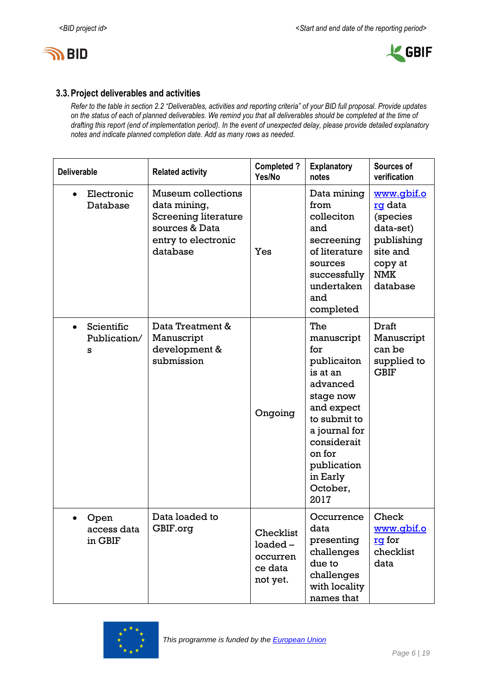



#### **3.3.Project deliverables and activities**

*Refer to the table in section 2.2 "Deliverables, activities and reporting criteria" of your BID full proposal. Provide updates on the status of each of planned deliverables. We remind you that all deliverables should be completed at the time of drafting this report (end of implementation period). In the event of unexpected delay, please provide detailed explanatory notes and indicate planned completion date. Add as many rows as needed.*

| <b>Deliverable</b>                           | <b>Related activity</b>                                                                                                       | <b>Completed?</b><br>Yes/No                                | <b>Explanatory</b><br>notes                                                                                                                                                                         | Sources of<br>verification                                                                                           |  |  |  |
|----------------------------------------------|-------------------------------------------------------------------------------------------------------------------------------|------------------------------------------------------------|-----------------------------------------------------------------------------------------------------------------------------------------------------------------------------------------------------|----------------------------------------------------------------------------------------------------------------------|--|--|--|
| Electronic<br>Database                       | <b>Museum collections</b><br>data mining,<br><b>Screening literature</b><br>sources & Data<br>entry to electronic<br>database | Yes                                                        | Data mining<br>from<br>colleciton<br>and<br>secreening<br>of literature<br>sources<br>successfully<br>undertaken<br>and<br>completed                                                                | <u>www.qbif.o</u><br>rg data<br>(species<br>data-set)<br>publishing<br>site and<br>copy at<br><b>NMK</b><br>database |  |  |  |
| Scientific<br>$\bullet$<br>Publication/<br>s | Data Treatment &<br>Manuscript<br>development &<br>submission                                                                 | Ongoing                                                    | The<br>manuscript<br>for<br>publicaiton<br>is at an<br>advanced<br>stage now<br>and expect<br>to submit to<br>a journal for<br>considerait<br>on for<br>publication<br>in Early<br>October,<br>2017 | Draft<br>Manuscript<br>can be<br>supplied to<br><b>GBIF</b>                                                          |  |  |  |
| Open<br>access data<br>in GBIF               | Data loaded to<br>GBIF.org                                                                                                    | Checklist<br>$loaded -$<br>occurren<br>ce data<br>not yet. | Occurrence<br>data<br>presenting<br>challenges<br>due to<br>challenges<br>with locality<br>names that                                                                                               | Check<br>www.qbif.o<br>rg for<br>checklist<br>data                                                                   |  |  |  |

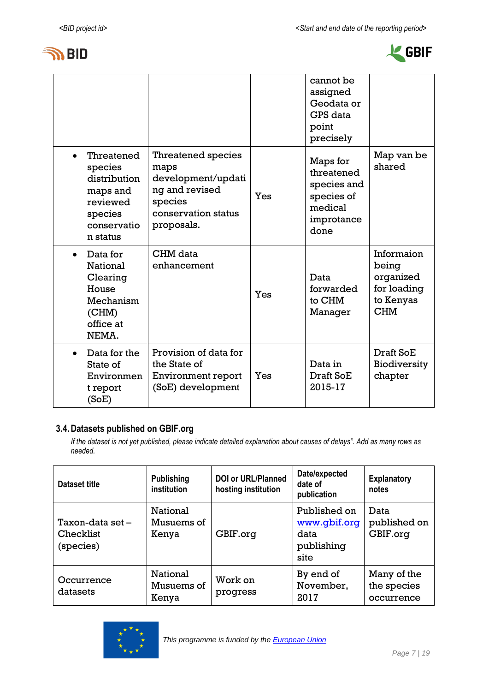



|                                                                                                     |                                                                                                                           |     | cannot be<br>assigned<br>Geodata or<br>GPS data<br>point<br>precisely                |                                                                            |
|-----------------------------------------------------------------------------------------------------|---------------------------------------------------------------------------------------------------------------------------|-----|--------------------------------------------------------------------------------------|----------------------------------------------------------------------------|
| Threatened<br>species<br>distribution<br>maps and<br>reviewed<br>species<br>conservatio<br>n status | <b>Threatened species</b><br>maps<br>development/updati<br>ng and revised<br>species<br>conservation status<br>proposals. | Yes | Maps for<br>threatened<br>species and<br>species of<br>medical<br>improtance<br>done | Map van be<br>shared                                                       |
| Data for<br><b>National</b><br>Clearing<br>House<br>Mechanism<br>(CHM)<br>office at<br>NEMA.        | CHM data<br>enhancement                                                                                                   | Yes | Data<br>forwarded<br>to CHM<br>Manager                                               | Informaion<br>being<br>organized<br>for loading<br>to Kenyas<br><b>CHM</b> |
| Data for the<br>State of<br>Environmen<br>t report<br>(SoE)                                         | Provision of data for<br>the State of<br>Environment report<br>(SoE) development                                          | Yes | Data in<br>Draft SoE<br>2015-17                                                      | Draft SoE<br>Biodiversity<br>chapter                                       |

### **3.4.Datasets published on GBIF.org**

*If the dataset is not yet published, please indicate detailed explanation about causes of delays". Add as many rows as needed.*

| <b>Dataset title</b>                       | <b>Publishing</b><br>institution | <b>DOI or URL/Planned</b><br>hosting institution | Date/expected<br>date of<br>publication                    | <b>Explanatory</b><br>notes              |
|--------------------------------------------|----------------------------------|--------------------------------------------------|------------------------------------------------------------|------------------------------------------|
| Taxon-data set -<br>Checklist<br>(species) | National<br>Musuems of<br>Kenya  | GBIF.org                                         | Published on<br>www.gbif.org<br>data<br>publishing<br>site | Data<br>published on<br>GBIF.org         |
| Occurrence<br>datasets                     | National<br>Musuems of<br>Kenya  | Work on<br>progress                              | By end of<br>November,<br>2017                             | Many of the<br>the species<br>occurrence |

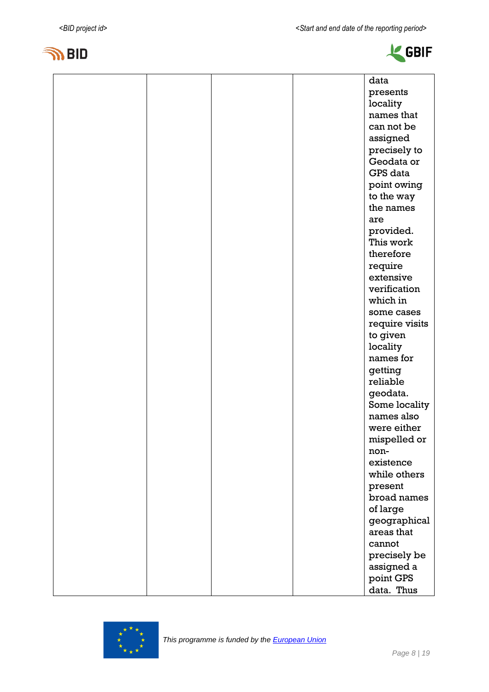





|  |  | data            |
|--|--|-----------------|
|  |  | presents        |
|  |  | locality        |
|  |  | names that      |
|  |  | can not be      |
|  |  | assigned        |
|  |  | precisely to    |
|  |  | Geodata or      |
|  |  | <b>GPS</b> data |
|  |  | point owing     |
|  |  | to the way      |
|  |  | the names       |
|  |  | are             |
|  |  | provided.       |
|  |  | This work       |
|  |  | therefore       |
|  |  | require         |
|  |  | extensive       |
|  |  | verification    |
|  |  | which in        |
|  |  | some cases      |
|  |  | require visits  |
|  |  | to given        |
|  |  | locality        |
|  |  | names for       |
|  |  | getting         |
|  |  | reliable        |
|  |  | geodata.        |
|  |  | Some locality   |
|  |  | names also      |
|  |  | were either     |
|  |  | mispelled or    |
|  |  | non-            |
|  |  | existence       |
|  |  | while others    |
|  |  | present         |
|  |  | broad names     |
|  |  | of large        |
|  |  | geographical    |
|  |  | areas that      |
|  |  | cannot          |
|  |  | precisely be    |
|  |  | assigned a      |
|  |  | point GPS       |
|  |  | data. Thus      |

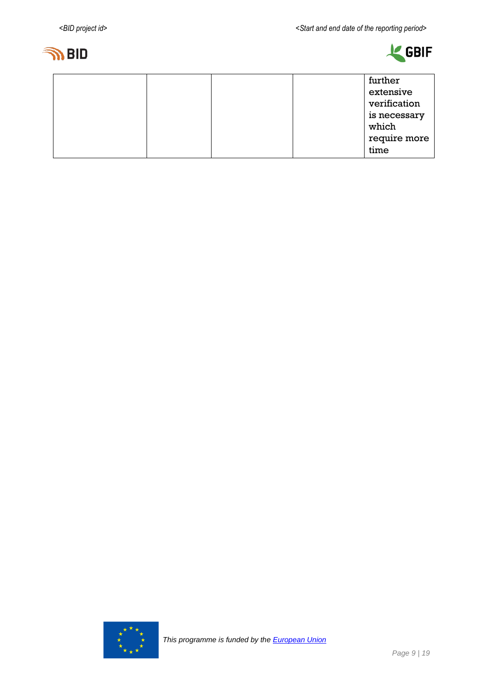



|  |  | further      |
|--|--|--------------|
|  |  | extensive    |
|  |  | verification |
|  |  | is necessary |
|  |  | which        |
|  |  | require more |
|  |  | time         |

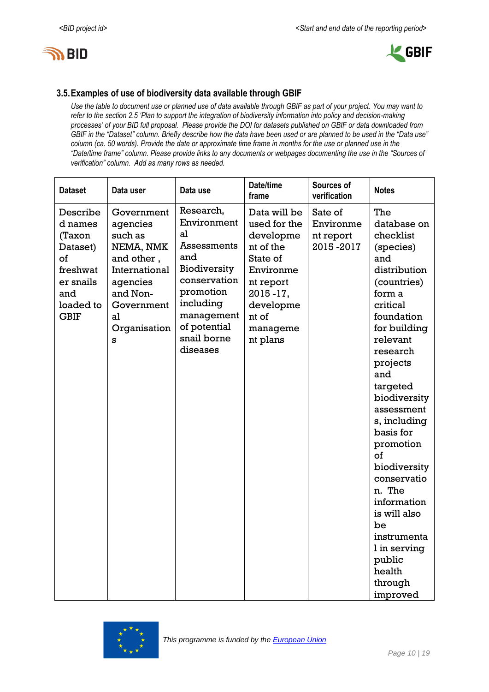



#### **3.5.Examples of use of biodiversity data available through GBIF**

*Use the table to document use or planned use of data available through GBIF as part of your project. You may want to refer to the section 2.5 'Plan to support the integration of biodiversity information into policy and decision-making processes' of your BID full proposal. Please provide the DOI for datasets published on GBIF or data downloaded from GBIF in the "Dataset" column. Briefly describe how the data have been used or are planned to be used in the "Data use" column (ca. 50 words). Provide the date or approximate time frame in months for the use or planned use in the "Date/time frame" column. Please provide links to any documents or webpages documenting the use in the "Sources of verification" column. Add as many rows as needed.*

| <b>Dataset</b>                                                                                              | Data user                                                                                                                                      | Data use                                                                                                                                                                | Date/time<br>frame                                                                                                                                          | Sources of<br>verification                     | <b>Notes</b>                                                                                                                                                                                                                                                                                                                                                                                                                        |
|-------------------------------------------------------------------------------------------------------------|------------------------------------------------------------------------------------------------------------------------------------------------|-------------------------------------------------------------------------------------------------------------------------------------------------------------------------|-------------------------------------------------------------------------------------------------------------------------------------------------------------|------------------------------------------------|-------------------------------------------------------------------------------------------------------------------------------------------------------------------------------------------------------------------------------------------------------------------------------------------------------------------------------------------------------------------------------------------------------------------------------------|
| Describe<br>d names<br>(Taxon<br>Dataset)<br>of<br>freshwat<br>er snails<br>and<br>loaded to<br><b>GBIF</b> | Government<br>agencies<br>such as<br>NEMA, NMK<br>and other,<br>International<br>agencies<br>and Non-<br>Government<br>al<br>Organisation<br>s | Research,<br>Environment<br>al<br>Assessments<br>and<br>Biodiversity<br>conservation<br>promotion<br>including<br>management<br>of potential<br>snail borne<br>diseases | Data will be<br>used for the<br>developme<br>nt of the<br>State of<br>Environme<br>nt report<br>$2015 - 17$ ,<br>developme<br>nt of<br>manageme<br>nt plans | Sate of<br>Environme<br>nt report<br>2015-2017 | The<br>database on<br>checklist<br>(species)<br>and<br>distribution<br>(countries)<br>form a<br>critical<br>foundation<br>for building<br>relevant<br>research<br>projects<br>and<br>targeted<br>biodiversity<br>assessment<br>s, including<br>basis for<br>promotion<br>οf<br>biodiversity<br>conservatio<br>n. The<br>information<br>is will also<br>be<br>instrumenta<br>l in serving<br>public<br>health<br>through<br>improved |

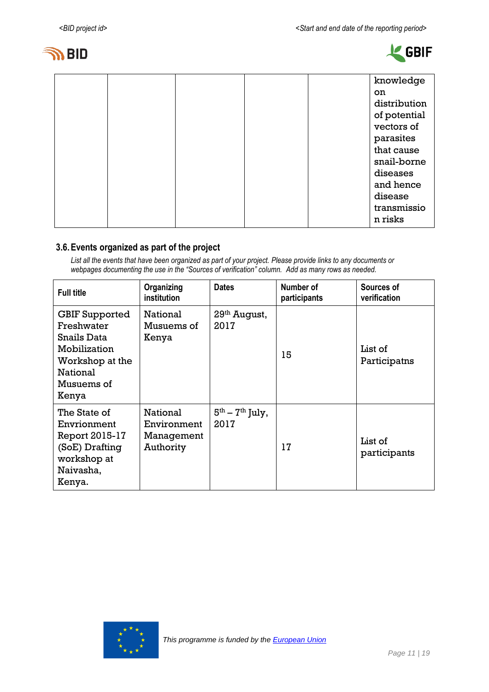



|  |  |  | knowledge    |
|--|--|--|--------------|
|  |  |  | on           |
|  |  |  | distribution |
|  |  |  | of potential |
|  |  |  | vectors of   |
|  |  |  | parasites    |
|  |  |  | that cause   |
|  |  |  | snail-borne  |
|  |  |  | diseases     |
|  |  |  | and hence    |
|  |  |  | disease      |
|  |  |  | transmissio  |
|  |  |  | n risks      |
|  |  |  |              |

#### **3.6.Events organized as part of the project**

*List all the events that have been organized as part of your project. Please provide links to any documents or webpages documenting the use in the "Sources of verification" column. Add as many rows as needed.*

| <b>Full title</b>                                                                                                        | Organizing<br>institution                          | <b>Dates</b>              | Number of<br>participants | Sources of<br>verification |
|--------------------------------------------------------------------------------------------------------------------------|----------------------------------------------------|---------------------------|---------------------------|----------------------------|
| <b>GBIF Supported</b><br>Freshwater<br>Snails Data<br>Mobilization<br>Workshop at the<br>National<br>Musuems of<br>Kenya | National<br>Musuems of<br>Kenya                    | 29th August,<br>2017      | 15                        | List of<br>Participatns    |
| The State of<br>Envrionment<br>Report 2015-17<br>(SoE) Drafting<br>workshop at<br>Naivasha,<br>Kenya.                    | National<br>Environment<br>Management<br>Authority | $5th - 7th$ July,<br>2017 | 17                        | List of<br>participants    |

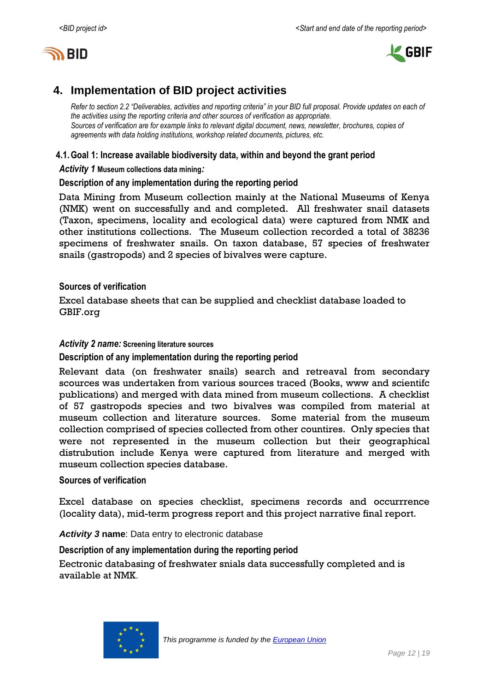



# <span id="page-11-0"></span>**4. Implementation of BID project activities**

*Refer to section 2.2 "Deliverables, activities and reporting criteria" in your BID full proposal. Provide updates on each of the activities using the reporting criteria and other sources of verification as appropriate. Sources of verification are for example links to relevant digital document, news, newsletter, brochures, copies of agreements with data holding institutions, workshop related documents, pictures, etc.*

#### **4.1.Goal 1: Increase available biodiversity data, within and beyond the grant period**

*Activity 1* **Museum collections data mining***:*

#### **Description of any implementation during the reporting period**

Data Mining from Museum collection mainly at the National Museums of Kenya (NMK) went on successfully and and completed. All freshwater snail datasets (Taxon, specimens, locality and ecological data) were captured from NMK and other institutions collections. The Museum collection recorded a total of 38236 specimens of freshwater snails. On taxon database, 57 species of freshwater snails (gastropods) and 2 species of bivalves were capture.

#### **Sources of verification**

Excel database sheets that can be supplied and checklist database loaded to GBIF.org

#### *Activity 2 name:* **Screening literature sources**

**Description of any implementation during the reporting period**

Relevant data (on freshwater snails) search and retreaval from secondary scources was undertaken from various sources traced (Books, www and scientifc publications) and merged with data mined from museum collections. A checklist of 57 gastropods species and two bivalves was compiled from material at museum collection and literature sources. Some material from the museum collection comprised of species collected from other countires. Only species that were not represented in the museum collection but their geographical distrubution include Kenya were captured from literature and merged with museum collection species database.

#### **Sources of verification**

Excel database on species checklist, specimens records and occurrrence (locality data), mid-term progress report and this project narrative final report.

*Activity 3* **name**: Data entry to electronic database

**Description of any implementation during the reporting period**

Eectronic databasing of freshwater snials data successfully completed and is available at NMK.

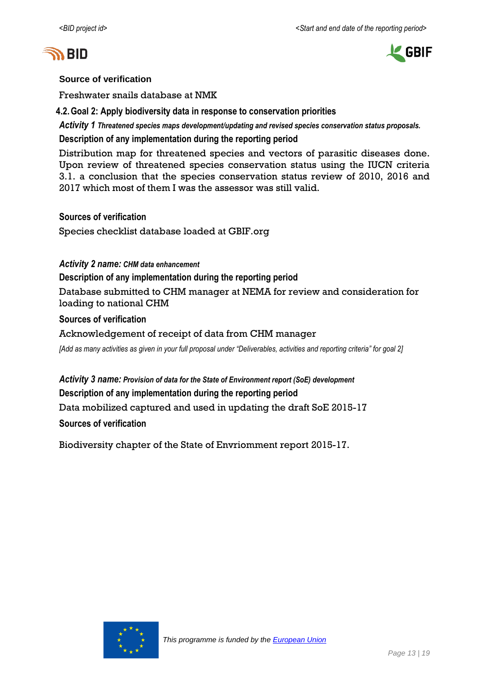



#### **Source of verification**

Freshwater snails database at NMK

**4.2.Goal 2: Apply biodiversity data in response to conservation priorities**

*Activity 1 Threatened species maps development/updating and revised species conservation status proposals.*

**Description of any implementation during the reporting period**

Distribution map for threatened species and vectors of parasitic diseases done. Upon review of threatened species conservation status using the IUCN criteria 3.1. a conclusion that the species conservation status review of 2010, 2016 and 2017 which most of them I was the assessor was still valid.

#### **Sources of verification**

Species checklist database loaded at GBIF.org

#### *Activity 2 name: CHM data enhancement*

**Description of any implementation during the reporting period**

Database submitted to CHM manager at NEMA for review and consideration for loading to national CHM

#### **Sources of verification**

#### Acknowledgement of receipt of data from CHM manager

*[Add as many activities as given in your full proposal under "Deliverables, activities and reporting criteria" for goal 2]*

#### *Activity 3 name: Provision of data for the State of Environment report (SoE) development*

#### **Description of any implementation during the reporting period**

Data mobilized captured and used in updating the draft SoE 2015-17

#### **Sources of verification**

Biodiversity chapter of the State of Envriomment report 2015-17.

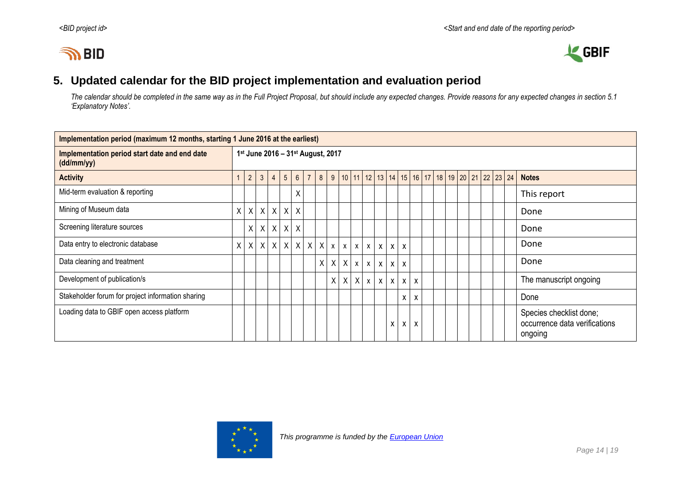# **IN BID**



# **5. Updated calendar for the BID project implementation and evaluation period**

*The calendar should be completed in the same way as in the Full Project Proposal, but should include any expected changes. Provide reasons for any expected changes in section 5.1 'Explanatory Notes'.*

<span id="page-13-0"></span>

| Implementation period (maximum 12 months, starting 1 June 2016 at the earliest) |    |                                                                                                                   |              |                |                |                 |                |                 |         |                           |  |            |              |                  |                           |                           |  |  |  |  |  |                                                                     |
|---------------------------------------------------------------------------------|----|-------------------------------------------------------------------------------------------------------------------|--------------|----------------|----------------|-----------------|----------------|-----------------|---------|---------------------------|--|------------|--------------|------------------|---------------------------|---------------------------|--|--|--|--|--|---------------------------------------------------------------------|
| Implementation period start date and end date<br>(dd/mm/yy)                     |    | 1st June 2016 - 31st August, 2017<br>9   10   11   12   13   14   15   16   17   18   19   20   21   22   23   24 |              |                |                |                 |                |                 |         |                           |  |            |              |                  |                           |                           |  |  |  |  |  |                                                                     |
| <b>Activity</b>                                                                 |    | $\overline{2}$                                                                                                    | $\mathbf{3}$ | $\overline{4}$ | 5 <sup>5</sup> | $6\overline{6}$ | 7 <sup>1</sup> | 8               |         |                           |  |            |              |                  |                           |                           |  |  |  |  |  | <b>Notes</b>                                                        |
| Mid-term evaluation & reporting                                                 |    |                                                                                                                   |              |                |                | χ               |                |                 |         |                           |  |            |              |                  |                           |                           |  |  |  |  |  | This report                                                         |
| Mining of Museum data                                                           | χI |                                                                                                                   |              | $X$ $X$ $X$    | $\mathsf{X}$   | $\sf X$         |                |                 |         |                           |  |            |              |                  |                           |                           |  |  |  |  |  | Done                                                                |
| Screening literature sources                                                    |    | $\mathsf{X}$                                                                                                      | $\times$     | $\chi$         | $\mathsf{X}$   | $\sf X$         |                |                 |         |                           |  |            |              |                  |                           |                           |  |  |  |  |  | Done                                                                |
| Data entry to electronic database                                               | χI |                                                                                                                   |              | $X$ $X$ $X$    | X              |                 |                | $X$ $X$ $X$ $X$ |         | $\mathsf{x}$              |  | $x \mid x$ | $\mathsf{X}$ | $\mathsf{X}$     | $\boldsymbol{\mathsf{X}}$ |                           |  |  |  |  |  | Done                                                                |
| Data cleaning and treatment                                                     |    |                                                                                                                   |              |                |                |                 |                |                 | $X$ $X$ | $\boldsymbol{\mathsf{X}}$ |  | $x \mid x$ | $\mathsf{X}$ | $\mathsf{X}$     | $\mathsf{x}$              |                           |  |  |  |  |  | Done                                                                |
| Development of publication/s                                                    |    |                                                                                                                   |              |                |                |                 |                |                 | X       | $\boldsymbol{\mathsf{X}}$ |  | $X \times$ | $\mathsf{X}$ | $\boldsymbol{X}$ | X                         | $\boldsymbol{\mathsf{X}}$ |  |  |  |  |  | The manuscript ongoing                                              |
| Stakeholder forum for project information sharing                               |    |                                                                                                                   |              |                |                |                 |                |                 |         |                           |  |            |              |                  | X                         | $\boldsymbol{\mathsf{X}}$ |  |  |  |  |  | Done                                                                |
| Loading data to GBIF open access platform                                       |    |                                                                                                                   |              |                |                |                 |                |                 |         |                           |  |            |              | X                | x                         | X                         |  |  |  |  |  | Species checklist done;<br>occurrence data verifications<br>ongoing |

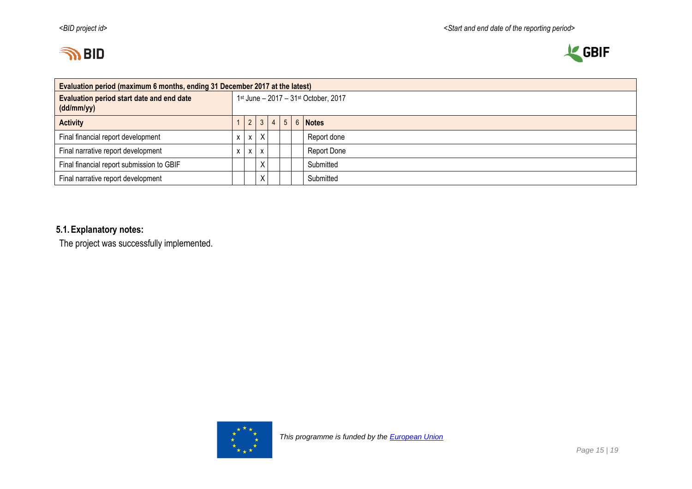



| Evaluation period (maximum 6 months, ending 31 December 2017 at the latest) |                                      |              |                        |  |  |                |  |             |  |
|-----------------------------------------------------------------------------|--------------------------------------|--------------|------------------------|--|--|----------------|--|-------------|--|
| Evaluation period start date and end date<br>(dd/mm/yy)                     | 1st June - 2017 - 31st October, 2017 |              |                        |  |  |                |  |             |  |
| <b>Activity</b>                                                             |                                      |              | $2 \mid 3 \mid 4 \mid$ |  |  | 5 <sup>7</sup> |  | 6 Notes     |  |
| Final financial report development                                          | <b>X</b>                             |              | $x \mid X$             |  |  |                |  | Report done |  |
| Final narrative report development                                          |                                      | $\mathsf{X}$ | $\mathsf{X}$           |  |  |                |  | Report Done |  |
| Final financial report submission to GBIF                                   |                                      |              | $\times$               |  |  |                |  | Submitted   |  |
| Final narrative report development                                          |                                      |              | Χ                      |  |  |                |  | Submitted   |  |

# **5.1.Explanatory notes:**

The project was successfully implemented.

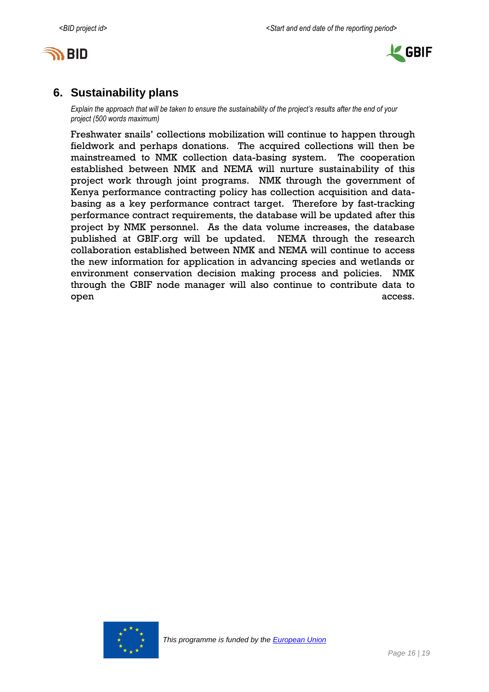



# <span id="page-15-0"></span>**6. Sustainability plans**

*Explain the approach that will be taken to ensure the sustainability of the project's results after the end of your project (500 words maximum)*

Freshwater snails' collections mobilization will continue to happen through fieldwork and perhaps donations. The acquired collections will then be mainstreamed to NMK collection data-basing system. The cooperation established between NMK and NEMA will nurture sustainability of this project work through joint programs. NMK through the government of Kenya performance contracting policy has collection acquisition and databasing as a key performance contract target. Therefore by fast-tracking performance contract requirements, the database will be updated after this project by NMK personnel. As the data volume increases, the database published at GBIF.org will be updated. NEMA through the research collaboration established between NMK and NEMA will continue to access the new information for application in advancing species and wetlands or environment conservation decision making process and policies. NMK through the GBIF node manager will also continue to contribute data to open access.

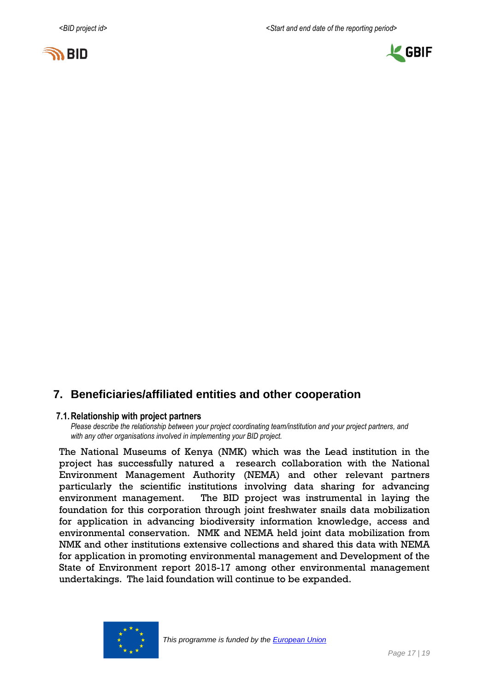



# <span id="page-16-0"></span>**7. Beneficiaries/affiliated entities and other cooperation**

#### **7.1.Relationship with project partners**

*Please describe the relationship between your project coordinating team/institution and your project partners, and with any other organisations involved in implementing your BID project.*

The National Museums of Kenya (NMK) which was the Lead institution in the project has successfully natured a research collaboration with the National Environment Management Authority (NEMA) and other relevant partners particularly the scientific institutions involving data sharing for advancing environment management. The BID project was instrumental in laying the foundation for this corporation through joint freshwater snails data mobilization for application in advancing biodiversity information knowledge, access and environmental conservation. NMK and NEMA held joint data mobilization from NMK and other institutions extensive collections and shared this data with NEMA for application in promoting environmental management and Development of the State of Environment report 2015-17 among other environmental management undertakings. The laid foundation will continue to be expanded.

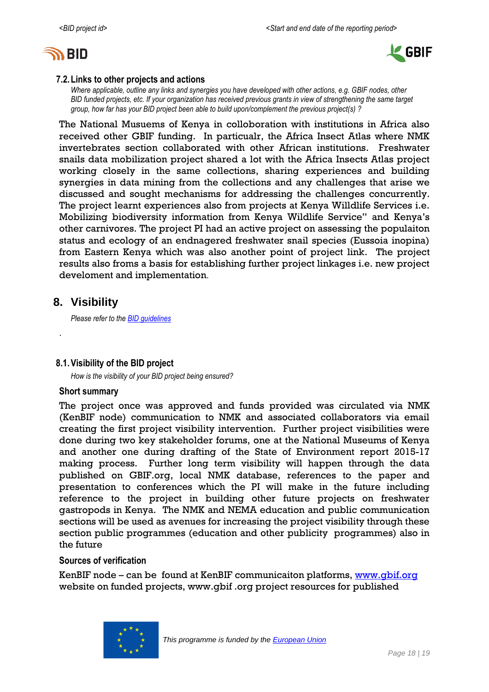



#### **7.2.Links to other projects and actions**

*Where applicable, outline any links and synergies you have developed with other actions, e.g. GBIF nodes, other BID funded projects, etc. If your organization has received previous grants in view of strengthening the same target group, how far has your BID project been able to build upon/complement the previous project(s) ?*

The National Musuems of Kenya in colloboration with institutions in Africa also received other GBIF funding. In particualr, the Africa Insect Atlas where NMK invertebrates section collaborated with other African institutions. Freshwater snails data mobilization project shared a lot with the Africa Insects Atlas project working closely in the same collections, sharing experiences and building synergies in data mining from the collections and any challenges that arise we discussed and sought mechanisms for addressing the challenges concurrently. The project learnt experiences also from projects at Kenya Willdlife Services i.e. Mobilizing biodiversity information from Kenya Wildlife Service" and Kenya's other carnivores. The project PI had an active project on assessing the populaiton status and ecology of an endnagered freshwater snail species (Eussoia inopina) from Eastern Kenya which was also another point of project link. The project results also froms a basis for establishing further project linkages i.e. new project develoment and implementation.

### <span id="page-17-0"></span>**8. Visibility**

.

*Please refer to th[e BID guidelines](http://bid.gbif.org/en/community/communication-guidelines/)*

#### **8.1.Visibility of the BID project**

*How is the visibility of your BID project being ensured?*

#### **Short summary**

The project once was approved and funds provided was circulated via NMK (KenBIF node) communication to NMK and associated collaborators via email creating the first project visibility intervention. Further project visibilities were done during two key stakeholder forums, one at the National Museums of Kenya and another one during drafting of the State of Environment report 2015-17 making process. Further long term visibility will happen through the data published on GBIF.org, local NMK database, references to the paper and presentation to conferences which the PI will make in the future including reference to the project in building other future projects on freshwater gastropods in Kenya. The NMK and NEMA education and public communication sections will be used as avenues for increasing the project visibility through these section public programmes (education and other publicity programmes) also in the future

#### **Sources of verification**

KenBIF node – can be found at KenBIF communicaiton platforms, [www.gbif.org](http://www.gbif.org/) website on funded projects, www.gbif .org project resources for published